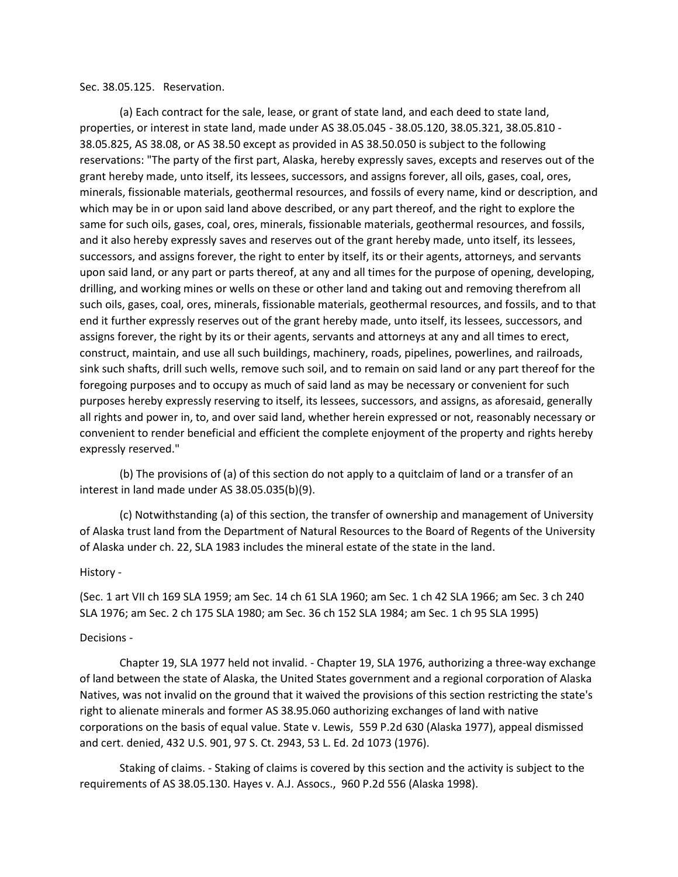## Sec. 38.05.125. Reservation.

(a) Each contract for the sale, lease, or grant of state land, and each deed to state land, properties, or interest in state land, made under AS 38.05.045 - 38.05.120, 38.05.321, 38.05.810 - 38.05.825, AS 38.08, or AS 38.50 except as provided in AS 38.50.050 is subject to the following reservations: "The party of the first part, Alaska, hereby expressly saves, excepts and reserves out of the grant hereby made, unto itself, its lessees, successors, and assigns forever, all oils, gases, coal, ores, minerals, fissionable materials, geothermal resources, and fossils of every name, kind or description, and which may be in or upon said land above described, or any part thereof, and the right to explore the same for such oils, gases, coal, ores, minerals, fissionable materials, geothermal resources, and fossils, and it also hereby expressly saves and reserves out of the grant hereby made, unto itself, its lessees, successors, and assigns forever, the right to enter by itself, its or their agents, attorneys, and servants upon said land, or any part or parts thereof, at any and all times for the purpose of opening, developing, drilling, and working mines or wells on these or other land and taking out and removing therefrom all such oils, gases, coal, ores, minerals, fissionable materials, geothermal resources, and fossils, and to that end it further expressly reserves out of the grant hereby made, unto itself, its lessees, successors, and assigns forever, the right by its or their agents, servants and attorneys at any and all times to erect, construct, maintain, and use all such buildings, machinery, roads, pipelines, powerlines, and railroads, sink such shafts, drill such wells, remove such soil, and to remain on said land or any part thereof for the foregoing purposes and to occupy as much of said land as may be necessary or convenient for such purposes hereby expressly reserving to itself, its lessees, successors, and assigns, as aforesaid, generally all rights and power in, to, and over said land, whether herein expressed or not, reasonably necessary or convenient to render beneficial and efficient the complete enjoyment of the property and rights hereby expressly reserved."

(b) The provisions of (a) of this section do not apply to a quitclaim of land or a transfer of an interest in land made under AS 38.05.035(b)(9).

(c) Notwithstanding (a) of this section, the transfer of ownership and management of University of Alaska trust land from the Department of Natural Resources to the Board of Regents of the University of Alaska under ch. 22, SLA 1983 includes the mineral estate of the state in the land.

## History -

(Sec. 1 art VII ch 169 SLA 1959; am Sec. 14 ch 61 SLA 1960; am Sec. 1 ch 42 SLA 1966; am Sec. 3 ch 240 SLA 1976; am Sec. 2 ch 175 SLA 1980; am Sec. 36 ch 152 SLA 1984; am Sec. 1 ch 95 SLA 1995)

## Decisions -

Chapter 19, SLA 1977 held not invalid. - Chapter 19, SLA 1976, authorizing a three-way exchange of land between the state of Alaska, the United States government and a regional corporation of Alaska Natives, was not invalid on the ground that it waived the provisions of this section restricting the state's right to alienate minerals and former AS 38.95.060 authorizing exchanges of land with native corporations on the basis of equal value. State v. Lewis, 559 P.2d 630 (Alaska 1977), appeal dismissed and cert. denied, 432 U.S. 901, 97 S. Ct. 2943, 53 L. Ed. 2d 1073 (1976).

Staking of claims. - Staking of claims is covered by this section and the activity is subject to the requirements of AS 38.05.130. Hayes v. A.J. Assocs., 960 P.2d 556 (Alaska 1998).